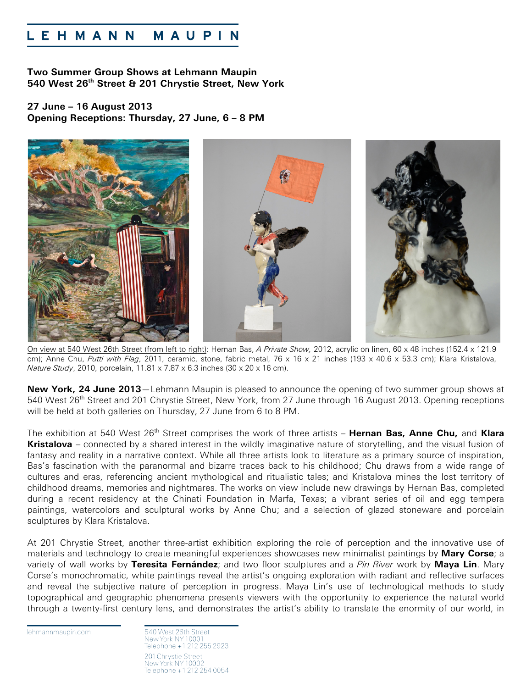## EHMANN MAUPIN

**Two Summer Group Shows at Lehmann Maupin 540 West 26th Street & 201 Chrystie Street, New York**

**27 June – 16 August 2013 Opening Receptions: Thursday, 27 June, 6 – 8 PM**



On view at 540 West 26th Street (from left to right): Hernan Bas, *A Private Show,* 2012, acrylic on linen, 60 x 48 inches (152.4 x 121.9 cm); Anne Chu, *Putti with Flag*, 2011, ceramic, stone, fabric metal, 76 x 16 x 21 inches (193 x 40.6 x 53.3 cm); Klara Kristalova, *Nature Study*, 2010, porcelain, 11.81 x 7.87 x 6.3 inches (30 x 20 x 16 cm).

**New York, 24 June 2013**—Lehmann Maupin is pleased to announce the opening of two summer group shows at 540 West 26<sup>th</sup> Street and 201 Chrystie Street, New York, from 27 June through 16 August 2013. Opening receptions will be held at both galleries on Thursday, 27 June from 6 to 8 PM.

The exhibition at 540 West 26<sup>th</sup> Street comprises the work of three artists – **Hernan Bas, Anne Chu,** and **Klara Kristalova** – connected by a shared interest in the wildly imaginative nature of storytelling, and the visual fusion of fantasy and reality in a narrative context. While all three artists look to literature as a primary source of inspiration, Bas's fascination with the paranormal and bizarre traces back to his childhood; Chu draws from a wide range of cultures and eras, referencing ancient mythological and ritualistic tales; and Kristalova mines the lost territory of childhood dreams, memories and nightmares. The works on view include new drawings by Hernan Bas, completed during a recent residency at the Chinati Foundation in Marfa, Texas; a vibrant series of oil and egg tempera paintings, watercolors and sculptural works by Anne Chu; and a selection of glazed stoneware and porcelain sculptures by Klara Kristalova.

At 201 Chrystie Street, another three-artist exhibition exploring the role of perception and the innovative use of materials and technology to create meaningful experiences showcases new minimalist paintings by **Mary Corse**; a variety of wall works by **Teresita Fernández**; and two floor sculptures and a *Pin River* work by **Maya Lin**. Mary Corse's monochromatic, white paintings reveal the artist's ongoing exploration with radiant and reflective surfaces and reveal the subjective nature of perception in progress. Maya Lin's use of technological methods to study topographical and geographic phenomena presents viewers with the opportunity to experience the natural world through a twenty-first century lens, and demonstrates the artist's ability to translate the enormity of our world, in

lehmannmaupin.com

540 West 26th Street New York NY 10001 Telephone +1 212 255 2923 201 Chrystie Street New York NY 10002 Telephone +1 212 254 0054